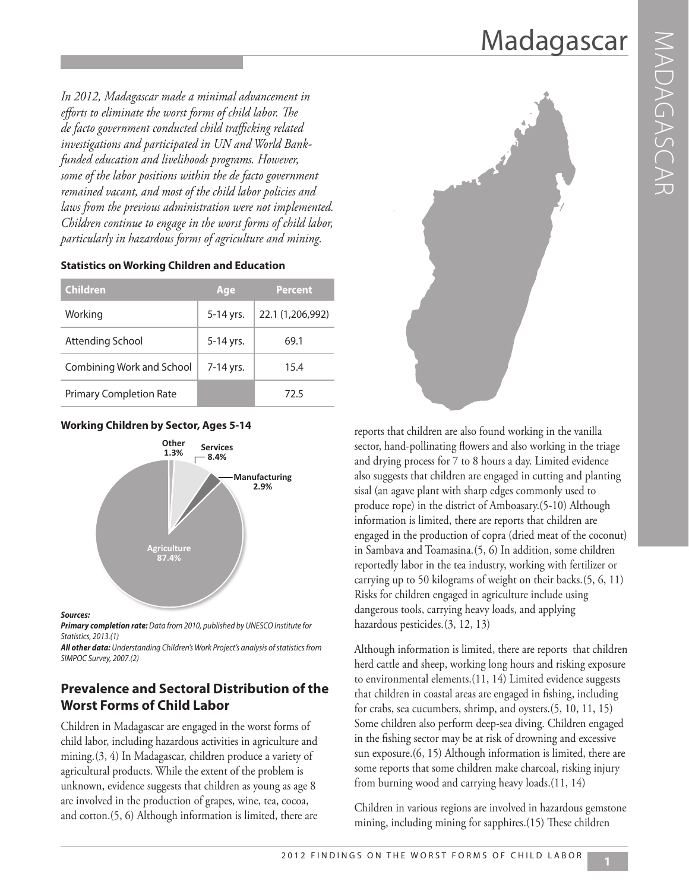*In 2012, Madagascar made a minimal advancement in efforts to eliminate the worst forms of child labor. The de facto government conducted child trafficking related investigations and participated in UN and World Bankfunded education and livelihoods programs. However, some of the labor positions within the de facto government remained vacant, and most of the child labor policies and laws from the previous administration were not implemented. Children continue to engage in the worst forms of child labor, particularly in hazardous forms of agriculture and mining.*

| <b>Children</b>           | Age       | <b>Percent</b>   |
|---------------------------|-----------|------------------|
| Working                   | 5-14 yrs. | 22.1 (1,206,992) |
| Attending School          | 5-14 yrs. | 69.1             |
| Combining Work and School | 7-14 yrs. | 15.4             |
|                           |           |                  |

Primary Completion Rate 1986 1997 12.5

#### **Statistics on Working Children and Education**

#### **Working Children by Sector, Ages 5-14**



#### *Sources:*

*Primary completion rate: Data from 2010, published by UNESCO Institute for Statistics, 2013.(1)* 

*All other data: Understanding Children's Work Project's analysis of statistics from SIMPOC Survey, 2007.(2)* 

### **Prevalence and Sectoral Distribution of the Worst Forms of Child Labor**

Children in Madagascar are engaged in the worst forms of child labor, including hazardous activities in agriculture and mining.(3, 4) In Madagascar, children produce a variety of agricultural products. While the extent of the problem is unknown, evidence suggests that children as young as age 8 are involved in the production of grapes, wine, tea, cocoa, and cotton.(5, 6) Although information is limited, there are



reports that children are also found working in the vanilla sector, hand-pollinating flowers and also working in the triage and drying process for 7 to 8 hours a day. Limited evidence also suggests that children are engaged in cutting and planting sisal (an agave plant with sharp edges commonly used to produce rope) in the district of Amboasary.(5-10) Although information is limited, there are reports that children are engaged in the production of copra (dried meat of the coconut) in Sambava and Toamasina.(5, 6) In addition, some children reportedly labor in the tea industry, working with fertilizer or carrying up to 50 kilograms of weight on their backs.(5, 6, 11) Risks for children engaged in agriculture include using dangerous tools, carrying heavy loads, and applying hazardous pesticides.(3, 12, 13)

Although information is limited, there are reports that children herd cattle and sheep, working long hours and risking exposure to environmental elements.(11, 14) Limited evidence suggests that children in coastal areas are engaged in fishing, including for crabs, sea cucumbers, shrimp, and oysters.(5, 10, 11, 15) Some children also perform deep-sea diving. Children engaged in the fishing sector may be at risk of drowning and excessive sun exposure.(6, 15) Although information is limited, there are some reports that some children make charcoal, risking injury from burning wood and carrying heavy loads.(11, 14)

Children in various regions are involved in hazardous gemstone mining, including mining for sapphires.(15) These children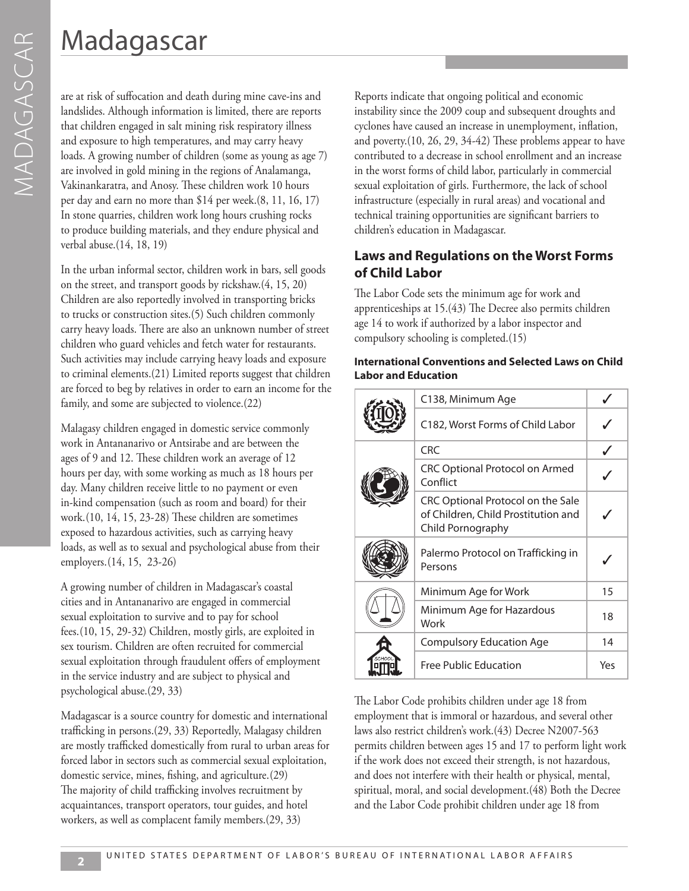are at risk of suffocation and death during mine cave-ins and landslides. Although information is limited, there are reports that children engaged in salt mining risk respiratory illness and exposure to high temperatures, and may carry heavy loads. A growing number of children (some as young as age 7) are involved in gold mining in the regions of Analamanga, Vakinankaratra, and Anosy. These children work 10 hours per day and earn no more than \$14 per week.(8, 11, 16, 17) In stone quarries, children work long hours crushing rocks to produce building materials, and they endure physical and verbal abuse.(14, 18, 19)

In the urban informal sector, children work in bars, sell goods on the street, and transport goods by rickshaw.(4, 15, 20) Children are also reportedly involved in transporting bricks to trucks or construction sites.(5) Such children commonly carry heavy loads. There are also an unknown number of street children who guard vehicles and fetch water for restaurants. Such activities may include carrying heavy loads and exposure to criminal elements.(21) Limited reports suggest that children are forced to beg by relatives in order to earn an income for the family, and some are subjected to violence.(22)

Malagasy children engaged in domestic service commonly work in Antananarivo or Antsirabe and are between the ages of 9 and 12. These children work an average of 12 hours per day, with some working as much as 18 hours per day. Many children receive little to no payment or even in-kind compensation (such as room and board) for their work.(10, 14, 15, 23-28) These children are sometimes exposed to hazardous activities, such as carrying heavy loads, as well as to sexual and psychological abuse from their employers.(14, 15, 23-26)

A growing number of children in Madagascar's coastal cities and in Antananarivo are engaged in commercial sexual exploitation to survive and to pay for school fees.(10, 15, 29-32) Children, mostly girls, are exploited in sex tourism. Children are often recruited for commercial sexual exploitation through fraudulent offers of employment in the service industry and are subject to physical and psychological abuse.(29, 33)

Madagascar is a source country for domestic and international trafficking in persons.(29, 33) Reportedly, Malagasy children are mostly trafficked domestically from rural to urban areas for forced labor in sectors such as commercial sexual exploitation, domestic service, mines, fishing, and agriculture.(29) The majority of child trafficking involves recruitment by acquaintances, transport operators, tour guides, and hotel workers, as well as complacent family members.(29, 33)

Reports indicate that ongoing political and economic instability since the 2009 coup and subsequent droughts and cyclones have caused an increase in unemployment, inflation, and poverty.(10, 26, 29, 34-42) These problems appear to have contributed to a decrease in school enrollment and an increase in the worst forms of child labor, particularly in commercial sexual exploitation of girls. Furthermore, the lack of school infrastructure (especially in rural areas) and vocational and technical training opportunities are significant barriers to children's education in Madagascar.

### **Laws and Regulations on the Worst Forms of Child Labor**

The Labor Code sets the minimum age for work and apprenticeships at 15.(43) The Decree also permits children age 14 to work if authorized by a labor inspector and compulsory schooling is completed.(15)

#### **International Conventions and Selected Laws on Child Labor and Education**

|  | C138, Minimum Age                                                                             |     |
|--|-----------------------------------------------------------------------------------------------|-----|
|  | C182, Worst Forms of Child Labor                                                              |     |
|  | <b>CRC</b>                                                                                    |     |
|  | <b>CRC Optional Protocol on Armed</b><br>Conflict                                             |     |
|  | CRC Optional Protocol on the Sale<br>of Children, Child Prostitution and<br>Child Pornography |     |
|  | Palermo Protocol on Trafficking in<br>Persons                                                 |     |
|  | Minimum Age for Work                                                                          | 15  |
|  | Minimum Age for Hazardous<br>Work                                                             | 18  |
|  | <b>Compulsory Education Age</b>                                                               | 14  |
|  | <b>Free Public Education</b>                                                                  | Yes |

The Labor Code prohibits children under age 18 from employment that is immoral or hazardous, and several other laws also restrict children's work.(43) Decree N2007-563 permits children between ages 15 and 17 to perform light work if the work does not exceed their strength, is not hazardous, and does not interfere with their health or physical, mental, spiritual, moral, and social development.(48) Both the Decree and the Labor Code prohibit children under age 18 from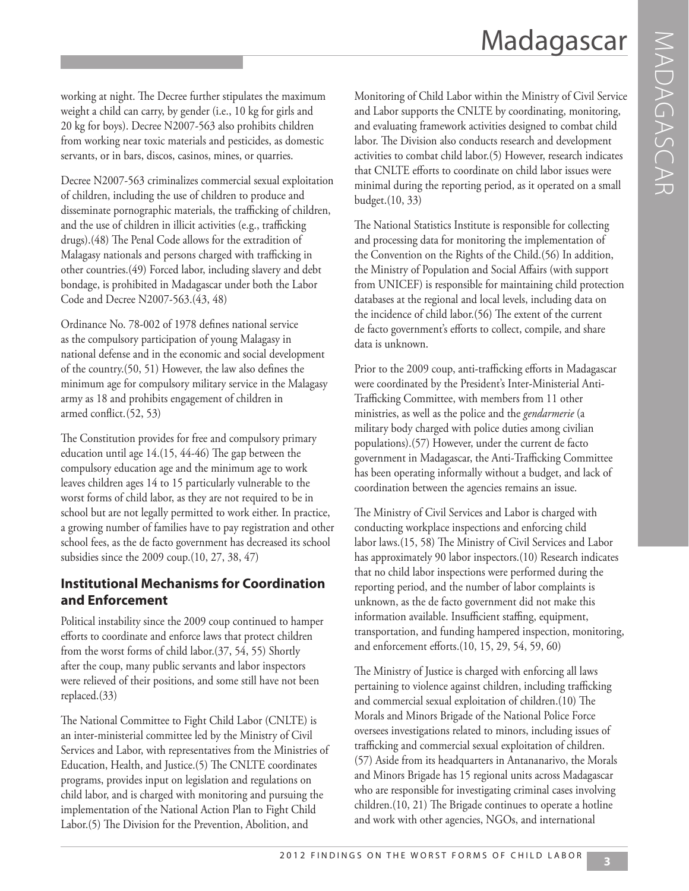working at night. The Decree further stipulates the maximum weight a child can carry, by gender (i.e., 10 kg for girls and 20 kg for boys). Decree N2007-563 also prohibits children from working near toxic materials and pesticides, as domestic servants, or in bars, discos, casinos, mines, or quarries.

Decree N2007-563 criminalizes commercial sexual exploitation of children, including the use of children to produce and disseminate pornographic materials, the trafficking of children, and the use of children in illicit activities (e.g., trafficking drugs).(48) The Penal Code allows for the extradition of Malagasy nationals and persons charged with trafficking in other countries.(49) Forced labor, including slavery and debt bondage, is prohibited in Madagascar under both the Labor Code and Decree N2007-563.(43, 48)

Ordinance No. 78-002 of 1978 defines national service as the compulsory participation of young Malagasy in national defense and in the economic and social development of the country.(50, 51) However, the law also defines the minimum age for compulsory military service in the Malagasy army as 18 and prohibits engagement of children in armed conflict.(52, 53)

The Constitution provides for free and compulsory primary education until age 14.(15, 44-46) The gap between the compulsory education age and the minimum age to work leaves children ages 14 to 15 particularly vulnerable to the worst forms of child labor, as they are not required to be in school but are not legally permitted to work either. In practice, a growing number of families have to pay registration and other school fees, as the de facto government has decreased its school subsidies since the 2009 coup.(10, 27, 38, 47)

## **Institutional Mechanisms for Coordination and Enforcement**

Political instability since the 2009 coup continued to hamper efforts to coordinate and enforce laws that protect children from the worst forms of child labor.(37, 54, 55) Shortly after the coup, many public servants and labor inspectors were relieved of their positions, and some still have not been replaced.(33)

The National Committee to Fight Child Labor (CNLTE) is an inter-ministerial committee led by the Ministry of Civil Services and Labor, with representatives from the Ministries of Education, Health, and Justice.(5) The CNLTE coordinates programs, provides input on legislation and regulations on child labor, and is charged with monitoring and pursuing the implementation of the National Action Plan to Fight Child Labor.(5) The Division for the Prevention, Abolition, and

Monitoring of Child Labor within the Ministry of Civil Service and Labor supports the CNLTE by coordinating, monitoring, and evaluating framework activities designed to combat child labor. The Division also conducts research and development activities to combat child labor.(5) However, research indicates that CNLTE efforts to coordinate on child labor issues were minimal during the reporting period, as it operated on a small budget.(10, 33)

The National Statistics Institute is responsible for collecting and processing data for monitoring the implementation of the Convention on the Rights of the Child.(56) In addition, the Ministry of Population and Social Affairs (with support from UNICEF) is responsible for maintaining child protection databases at the regional and local levels, including data on the incidence of child labor.(56) The extent of the current de facto government's efforts to collect, compile, and share data is unknown.

Prior to the 2009 coup, anti-trafficking efforts in Madagascar were coordinated by the President's Inter-Ministerial Anti-Trafficking Committee, with members from 11 other ministries, as well as the police and the *gendarmerie* (a military body charged with police duties among civilian populations).(57) However, under the current de facto government in Madagascar, the Anti-Trafficking Committee has been operating informally without a budget, and lack of coordination between the agencies remains an issue.

The Ministry of Civil Services and Labor is charged with conducting workplace inspections and enforcing child labor laws.(15, 58) The Ministry of Civil Services and Labor has approximately 90 labor inspectors.(10) Research indicates that no child labor inspections were performed during the reporting period, and the number of labor complaints is unknown, as the de facto government did not make this information available. Insufficient staffing, equipment, transportation, and funding hampered inspection, monitoring, and enforcement efforts.(10, 15, 29, 54, 59, 60)

The Ministry of Justice is charged with enforcing all laws pertaining to violence against children, including trafficking and commercial sexual exploitation of children.(10) The Morals and Minors Brigade of the National Police Force oversees investigations related to minors, including issues of trafficking and commercial sexual exploitation of children. (57) Aside from its headquarters in Antananarivo, the Morals and Minors Brigade has 15 regional units across Madagascar who are responsible for investigating criminal cases involving children.(10, 21) The Brigade continues to operate a hotline and work with other agencies, NGOs, and international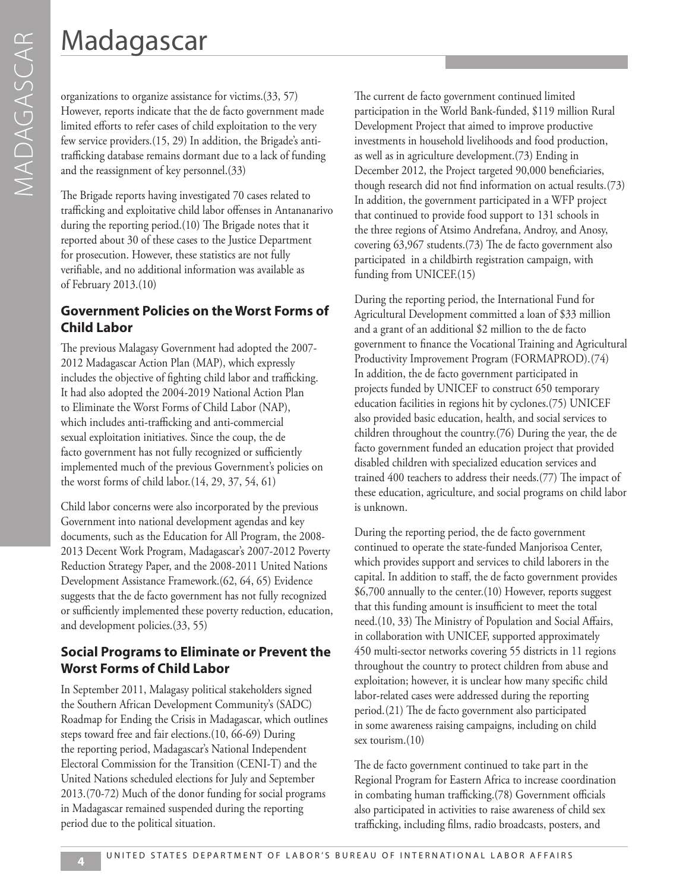organizations to organize assistance for victims.(33, 57) However, reports indicate that the de facto government made limited efforts to refer cases of child exploitation to the very few service providers.(15, 29) In addition, the Brigade's antitrafficking database remains dormant due to a lack of funding and the reassignment of key personnel.(33)

The Brigade reports having investigated 70 cases related to trafficking and exploitative child labor offenses in Antananarivo during the reporting period.(10) The Brigade notes that it reported about 30 of these cases to the Justice Department for prosecution. However, these statistics are not fully verifiable, and no additional information was available as of February 2013.(10)

### **Government Policies on the Worst Forms of Child Labor**

The previous Malagasy Government had adopted the 2007- 2012 Madagascar Action Plan (MAP), which expressly includes the objective of fighting child labor and trafficking. It had also adopted the 2004-2019 National Action Plan to Eliminate the Worst Forms of Child Labor (NAP), which includes anti-trafficking and anti-commercial sexual exploitation initiatives. Since the coup, the de facto government has not fully recognized or sufficiently implemented much of the previous Government's policies on the worst forms of child labor.(14, 29, 37, 54, 61)

Child labor concerns were also incorporated by the previous Government into national development agendas and key documents, such as the Education for All Program, the 2008- 2013 Decent Work Program, Madagascar's 2007-2012 Poverty Reduction Strategy Paper, and the 2008-2011 United Nations Development Assistance Framework.(62, 64, 65) Evidence suggests that the de facto government has not fully recognized or sufficiently implemented these poverty reduction, education, and development policies.(33, 55)

### **Social Programs to Eliminate or Prevent the Worst Forms of Child Labor**

In September 2011, Malagasy political stakeholders signed the Southern African Development Community's (SADC) Roadmap for Ending the Crisis in Madagascar, which outlines steps toward free and fair elections.(10, 66-69) During the reporting period, Madagascar's National Independent Electoral Commission for the Transition (CENI-T) and the United Nations scheduled elections for July and September 2013.(70-72) Much of the donor funding for social programs in Madagascar remained suspended during the reporting period due to the political situation.

The current de facto government continued limited participation in the World Bank-funded, \$119 million Rural Development Project that aimed to improve productive investments in household livelihoods and food production, as well as in agriculture development.(73) Ending in December 2012, the Project targeted 90,000 beneficiaries, though research did not find information on actual results.(73) In addition, the government participated in a WFP project that continued to provide food support to 131 schools in the three regions of Atsimo Andrefana, Androy, and Anosy, covering 63,967 students.(73) The de facto government also participated in a childbirth registration campaign, with funding from UNICEF.(15)

During the reporting period, the International Fund for Agricultural Development committed a loan of \$33 million and a grant of an additional \$2 million to the de facto government to finance the Vocational Training and Agricultural Productivity Improvement Program (FORMAPROD).(74) In addition, the de facto government participated in projects funded by UNICEF to construct 650 temporary education facilities in regions hit by cyclones.(75) UNICEF also provided basic education, health, and social services to children throughout the country.(76) During the year, the de facto government funded an education project that provided disabled children with specialized education services and trained 400 teachers to address their needs.(77) The impact of these education, agriculture, and social programs on child labor is unknown.

During the reporting period, the de facto government continued to operate the state-funded Manjorisoa Center, which provides support and services to child laborers in the capital. In addition to staff, the de facto government provides \$6,700 annually to the center.(10) However, reports suggest that this funding amount is insufficient to meet the total need.(10, 33) The Ministry of Population and Social Affairs, in collaboration with UNICEF, supported approximately 450 multi-sector networks covering 55 districts in 11 regions throughout the country to protect children from abuse and exploitation; however, it is unclear how many specific child labor-related cases were addressed during the reporting period.(21) The de facto government also participated in some awareness raising campaigns, including on child sex tourism.(10)

The de facto government continued to take part in the Regional Program for Eastern Africa to increase coordination in combating human trafficking.(78) Government officials also participated in activities to raise awareness of child sex trafficking, including films, radio broadcasts, posters, and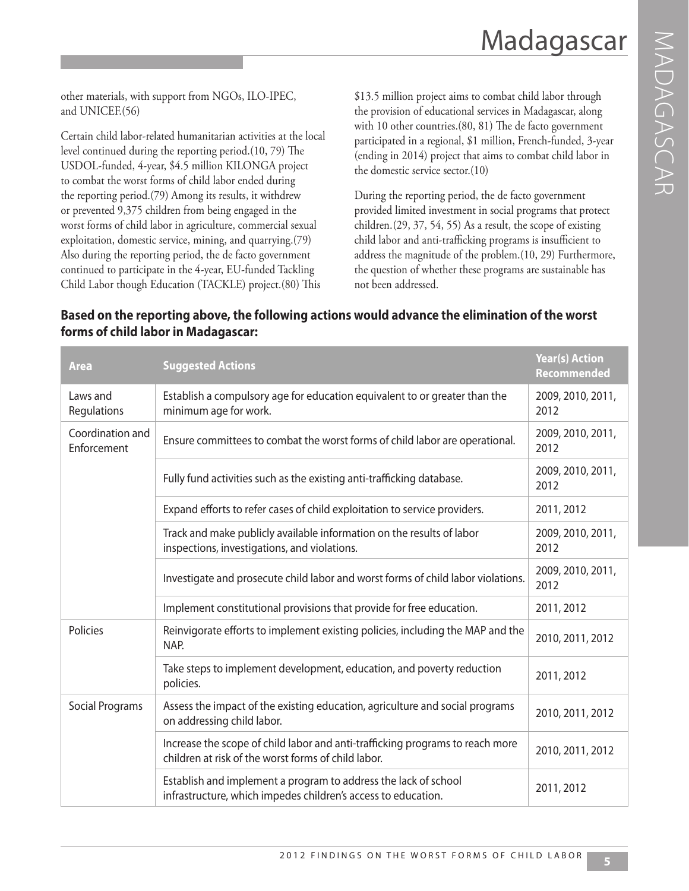other materials, with support from NGOs, ILO-IPEC, and UNICEF.(56)

Certain child labor-related humanitarian activities at the local level continued during the reporting period.(10, 79) The USDOL-funded, 4-year, \$4.5 million KILONGA project to combat the worst forms of child labor ended during the reporting period.(79) Among its results, it withdrew or prevented 9,375 children from being engaged in the worst forms of child labor in agriculture, commercial sexual exploitation, domestic service, mining, and quarrying.(79) Also during the reporting period, the de facto government continued to participate in the 4-year, EU-funded Tackling Child Labor though Education (TACKLE) project.(80) This

\$13.5 million project aims to combat child labor through the provision of educational services in Madagascar, along with 10 other countries.(80, 81) The de facto government participated in a regional, \$1 million, French-funded, 3-year (ending in 2014) project that aims to combat child labor in the domestic service sector.(10)

During the reporting period, the de facto government provided limited investment in social programs that protect children.(29, 37, 54, 55) As a result, the scope of existing child labor and anti-trafficking programs is insufficient to address the magnitude of the problem.(10, 29) Furthermore, the question of whether these programs are sustainable has not been addressed.

| <b>Area</b>                     | <b>Suggested Actions</b>                                                                                                             | <b>Year(s) Action</b><br>Recommended |
|---------------------------------|--------------------------------------------------------------------------------------------------------------------------------------|--------------------------------------|
| Laws and<br>Regulations         | Establish a compulsory age for education equivalent to or greater than the<br>minimum age for work.                                  | 2009, 2010, 2011,<br>2012            |
| Coordination and<br>Enforcement | Ensure committees to combat the worst forms of child labor are operational.                                                          |                                      |
|                                 | Fully fund activities such as the existing anti-trafficking database.                                                                | 2009, 2010, 2011,<br>2012            |
|                                 | Expand efforts to refer cases of child exploitation to service providers.                                                            | 2011, 2012                           |
|                                 | Track and make publicly available information on the results of labor<br>inspections, investigations, and violations.                | 2009, 2010, 2011,<br>2012            |
|                                 | Investigate and prosecute child labor and worst forms of child labor violations.                                                     | 2009, 2010, 2011,<br>2012            |
|                                 | Implement constitutional provisions that provide for free education.                                                                 | 2011, 2012                           |
| Policies                        | Reinvigorate efforts to implement existing policies, including the MAP and the<br>NAP.                                               | 2010, 2011, 2012                     |
|                                 | Take steps to implement development, education, and poverty reduction<br>policies.                                                   | 2011, 2012                           |
| <b>Social Programs</b>          | Assess the impact of the existing education, agriculture and social programs<br>on addressing child labor.                           | 2010, 2011, 2012                     |
|                                 | Increase the scope of child labor and anti-trafficking programs to reach more<br>children at risk of the worst forms of child labor. | 2010, 2011, 2012                     |
|                                 | Establish and implement a program to address the lack of school<br>infrastructure, which impedes children's access to education.     | 2011, 2012                           |

### **Based on the reporting above, the following actions would advance the elimination of the worst forms of child labor in Madagascar:**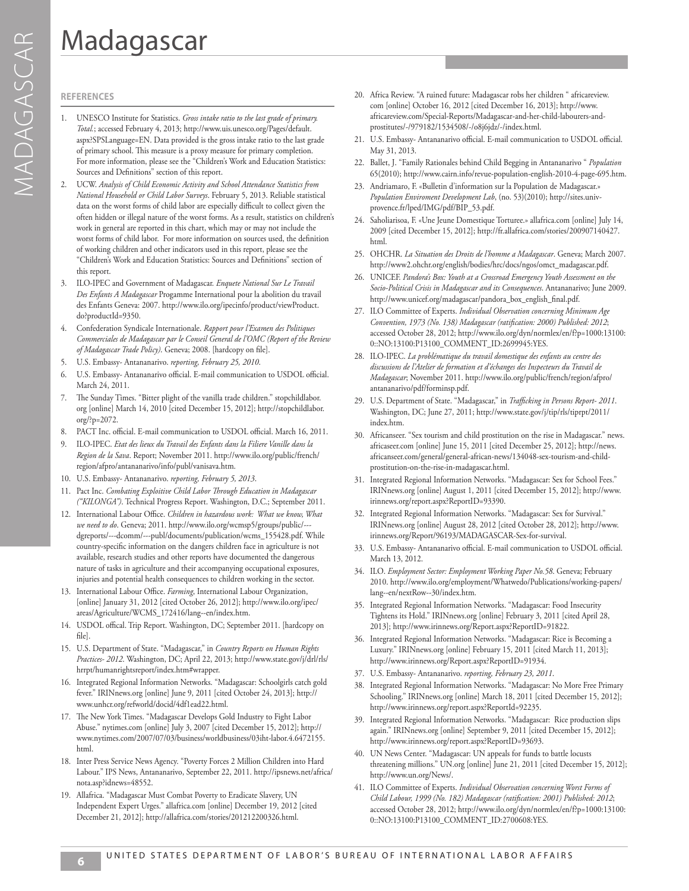#### **REFERENCES**

- 1. UNESCO Institute for Statistics. *Gross intake ratio to the last grade of primary. Total.*; accessed February 4, 2013; http://www.uis.unesco.org/Pages/default. aspx?SPSLanguage=EN. Data provided is the gross intake ratio to the last grade of primary school. This measure is a proxy measure for primary completion. For more information, please see the "Children's Work and Education Statistics: Sources and Definitions" section of this report.
- 2. UCW. *Analysis of Child Economic Activity and School Attendance Statistics from National Household or Child Labor Surveys*. February 5, 2013. Reliable statistical data on the worst forms of child labor are especially difficult to collect given the often hidden or illegal nature of the worst forms. As a result, statistics on children's work in general are reported in this chart, which may or may not include the worst forms of child labor. For more information on sources used, the definition of working children and other indicators used in this report, please see the "Children's Work and Education Statistics: Sources and Definitions" section of this report.
- 3. ILO-IPEC and Government of Madagascar. *Enquete National Sur Le Travail Des Enfants A Madagascar* Progamme International pour la abolition du travail des Enfants Geneva: 2007. http://www.ilo.org/ipecinfo/product/viewProduct. do?productId=9350.
- 4. Confederation Syndicale Internationale. *Rapport pour l'Examen des Politiques Commerciales de Madagascar par le Conseil General de l'OMC (Report of the Review of Madagascar Trade Policy)*. Geneva; 2008. [hardcopy on file].
- 5. U.S. Embassy- Antananarivo. *reporting, February 25, 2010*.
- 6. U.S. Embassy- Antananarivo official. E-mail communication to USDOL official. March 24, 2011.
- 7. The Sunday Times. "Bitter plight of the vanilla trade children." stopchildlabor. org [online] March 14, 2010 [cited December 15, 2012]; http://stopchildlabor. org/?p=2072.
- 8. PACT Inc. official. E-mail communication to USDOL official. March 16, 2011.
- 9. ILO-IPEC. *Etat des lieux du Travail des Enfants dans la Filiere Vanille dans la Region de la Sava*. Report; November 2011. http://www.ilo.org/public/french/ region/afpro/antananarivo/info/publ/vanisava.htm.
- 10. U.S. Embassy- Antananarivo. *reporting, February 5, 2013*.
- 11. Pact Inc. *Combating Exploitive Child Labor Through Education in Madagascar ("KILONGA")*. Technical Progress Report. Washington, D.C.; September 2011.
- 12. International Labour Office. *Children in hazardous work: What we know, What we need to do*. Geneva; 2011. http://www.ilo.org/wcmsp5/groups/public/-- dgreports/---dcomm/---publ/documents/publication/wcms\_155428.pdf. While country-specific information on the dangers children face in agriculture is not available, research studies and other reports have documented the dangerous nature of tasks in agriculture and their accompanying occupational exposures, injuries and potential health consequences to children working in the sector.
- 13. International Labour Office. *Farming*, International Labour Organization, [online] January 31, 2012 [cited October 26, 2012]; http://www.ilo.org/ipec/ areas/Agriculture/WCMS\_172416/lang--en/index.htm.
- 14. USDOL offical. Trip Report. Washington, DC; September 2011. [hardcopy on file].
- 15. U.S. Department of State. "Madagascar," in *Country Reports on Human Rights Practices- 2012*. Washington, DC; April 22, 2013; http://www.state.gov/j/drl/rls/ hrrpt/humanrightsreport/index.htm#wrapper.
- 16. Integrated Regional Information Networks. "Madagascar: Schoolgirls catch gold fever." IRINnews.org [online] June 9, 2011 [cited October 24, 2013]; http:// www.unhcr.org/refworld/docid/4df1ead22.html.
- 17. The New York Times. "Madagascar Develops Gold Industry to Fight Labor Abuse." nytimes.com [online] July 3, 2007 [cited December 15, 2012]; http:// www.nytimes.com/2007/07/03/business/worldbusiness/03iht-labor.4.6472155. html.
- 18. Inter Press Service News Agency. "Poverty Forces 2 Million Children into Hard Labour." IPS News, Antananarivo, September 22, 2011. http://ipsnews.net/africa/ nota.asp?idnews=48552.
- 19. Allafrica. "Madagascar Must Combat Poverty to Eradicate Slavery, UN Independent Expert Urges." allafrica.com [online] December 19, 2012 [cited December 21, 2012]; http://allafrica.com/stories/201212200326.html.
- 20. Africa Review. "A ruined future: Madagascar robs her children " africareview. com [online] October 16, 2012 [cited December 16, 2013]; http://www. africareview.com/Special-Reports/Madagascar-and-her-child-labourers-andprostitutes/-/979182/1534508/-/o8j6jdz/-/index.html.
- 21. U.S. Embassy- Antananarivo official. E-mail communication to USDOL official. May 31, 2013.
- 22. Ballet, J. "Family Rationales behind Child Begging in Antananarivo " *Population*  65(2010); http://www.cairn.info/revue-population-english-2010-4-page-695.htm.
- 23. Andriamaro, F. «Bulletin d'information sur la Population de Madagascar.» *Population Enviroment Development Lab*, (no. 53)(2010); http://sites.univprovence.fr/lped/IMG/pdf/BIP\_53.pdf.
- 24. Saholiarisoa, F. «Une Jeune Domestique Torturee.» allafrica.com [online] July 14, 2009 [cited December 15, 2012]; http://fr.allafrica.com/stories/200907140427. html.
- 25. OHCHR. *La Situation des Droits de l'homme a Madagascar*. Geneva; March 2007. http://www2.ohchr.org/english/bodies/hrc/docs/ngos/omct\_madagascar.pdf.
- 26. UNICEF. *Pandora's Box: Youth at a Crossroad Emergency Youth Assessment on the Socio-Political Crisis in Madagascar and its Consequences*. Antananarivo; June 2009. http://www.unicef.org/madagascar/pandora\_box\_english\_final.pdf.
- 27. ILO Committee of Experts. *Individual Observation concerning Minimum Age Convention, 1973 (No. 138) Madagascar (ratification: 2000) Published: 2012*; accessed October 28, 2012; http://www.ilo.org/dyn/normlex/en/f?p=1000:13100: 0::NO:13100:P13100\_COMMENT\_ID:2699945:YES.
- 28. ILO-IPEC. *La problématique du travail domestique des enfants au centre des discussions de l'Atelier de formation et d'échanges des Inspecteurs du Travail de Madagascar*; November 2011. http://www.ilo.org/public/french/region/afpro/ antananarivo/pdf/forminsp.pdf.
- 29. U.S. Department of State. "Madagascar," in *Trafficking in Persons Report- 2011*. Washington, DC; June 27, 2011; http://www.state.gov/j/tip/rls/tiprpt/2011/ index.htm.
- 30. Africanseer. "Sex tourism and child prostitution on the rise in Madagascar." news. africaseer.com [online] June 15, 2011 [cited December 25, 2012]; http://news. africanseer.com/general/general-african-news/134048-sex-tourism-and-childprostitution-on-the-rise-in-madagascar.html.
- 31. Integrated Regional Information Networks. "Madagascar: Sex for School Fees." IRINnews.org [online] August 1, 2011 [cited December 15, 2012]; http://www. irinnews.org/report.aspx?ReportID=93390.
- 32. Integrated Regional Information Networks. "Madagascar: Sex for Survival." IRINnews.org [online] August 28, 2012 [cited October 28, 2012]; http://www. irinnews.org/Report/96193/MADAGASCAR-Sex-for-survival.
- 33. U.S. Embassy- Antananarivo official. E-mail communication to USDOL official. March 13, 2012.
- 34. ILO. *Employment Sector: Employment Working Paper No.58*. Geneva; February 2010. http://www.ilo.org/employment/Whatwedo/Publications/working-papers/ lang--en/nextRow--30/index.htm.
- 35. Integrated Regional Information Networks. "Madagascar: Food Insecurity Tightens its Hold." IRINnews.org [online] February 3, 2011 [cited April 28, 2013]; http://www.irinnews.org/Report.aspx?ReportID=91822.
- 36. Integrated Regional Information Networks. "Madagascar: Rice is Becoming a Luxury." IRINnews.org [online] February 15, 2011 [cited March 11, 2013]; http://www.irinnews.org/Report.aspx?ReportID=91934.
- 37. U.S. Embassy- Antananarivo. *reporting, February 23, 2011*.
- 38. Integrated Regional Information Networks. "Madagascar: No More Free Primary Schooling." IRINnews.org [online] March 18, 2011 [cited December 15, 2012]; http://www.irinnews.org/report.aspx?ReportId=92235.
- 39. Integrated Regional Information Networks. "Madagascar: Rice production slips again." IRINnews.org [online] September 9, 2011 [cited December 15, 2012]; http://www.irinnews.org/report.aspx?ReportID=93693.
- 40. UN News Center. "Madagascar: UN appeals for funds to battle locusts threatening millions." UN.org [online] June 21, 2011 [cited December 15, 2012]; http://www.un.org/News/.
- 41. ILO Committee of Experts. *Individual Observation concerning Worst Forms of Child Labour, 1999 (No. 182) Madagascar (ratification: 2001) Published: 2012*; accessed October 28, 2012; http://www.ilo.org/dyn/normlex/en/f?p=1000:13100: 0::NO:13100:P13100\_COMMENT\_ID:2700608:YES.